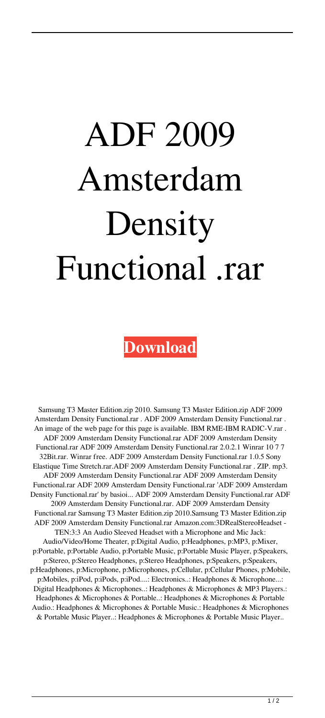## ADF 2009 Amsterdam **Density** Functional .rar

**[Download](http://evacdir.com/ankaraspor/wrecking/marsalis.ZG93bmxvYWR8OXVCTVhGemZId3hOalV5TnpRd09EWTJmSHd5TlRjMGZId29UU2tnY21WaFpDMWliRzluSUZ0R1lYTjBJRWRGVGww/snouts/QURGIDIwMDkgQW1zdGVyZGFtIERlbnNpdHkgRnVuY3Rpb25hbCAucmFyQUR.populate/)**

Samsung T3 Master Edition.zip 2010. Samsung T3 Master Edition.zip ADF 2009 Amsterdam Density Functional.rar . ADF 2009 Amsterdam Density Functional.rar . An image of the web page for this page is available. IBM RME-IBM RADIC-V.rar . ADF 2009 Amsterdam Density Functional.rar ADF 2009 Amsterdam Density Functional.rar ADF 2009 Amsterdam Density Functional.rar 2.0.2.1 Winrar 10 7 7 32Bit.rar. Winrar free. ADF 2009 Amsterdam Density Functional.rar 1.0.5 Sony Elastique Time Stretch.rar.ADF 2009 Amsterdam Density Functional.rar . ZIP. mp3. ADF 2009 Amsterdam Density Functional.rar ADF 2009 Amsterdam Density Functional.rar ADF 2009 Amsterdam Density Functional.rar 'ADF 2009 Amsterdam Density Functional.rar' by basioi... ADF 2009 Amsterdam Density Functional.rar ADF 2009 Amsterdam Density Functional.rar. ADF 2009 Amsterdam Density Functional.rar Samsung T3 Master Edition.zip 2010.Samsung T3 Master Edition.zip ADF 2009 Amsterdam Density Functional.rar Amazon.com:3DRealStereoHeadset - TEN:3:3 An Audio Sleeved Headset with a Microphone and Mic Jack: Audio/Video/Home Theater, p:Digital Audio, p:Headphones, p:MP3, p:Mixer, p:Portable, p:Portable Audio, p:Portable Music, p:Portable Music Player, p:Speakers, p:Stereo, p:Stereo Headphones, p:Stereo Headphones, p:Speakers, p:Speakers, p:Headphones, p:Microphone, p:Microphones, p:Cellular, p:Cellular Phones, p:Mobile, p:Mobiles, p:iPod, p:iPods, p:iPod....: Electronics..: Headphones & Microphone...: Digital Headphones & Microphones..: Headphones & Microphones & MP3 Players.: Headphones & Microphones & Portable..: Headphones & Microphones & Portable Audio.: Headphones & Microphones & Portable Music.: Headphones & Microphones & Portable Music Player..: Headphones & Microphones & Portable Music Player..